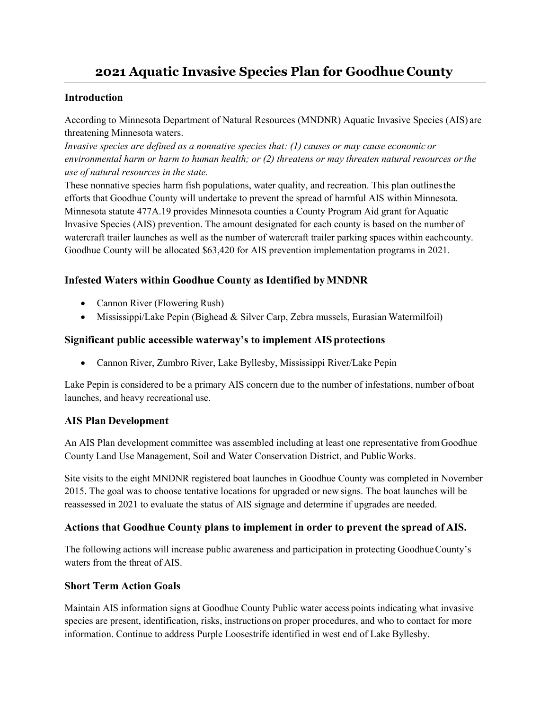# **2021 Aquatic Invasive Species Plan for Goodhue County**

### **Introduction**

According to Minnesota Department of Natural Resources (MNDNR) Aquatic Invasive Species (AIS) are threatening Minnesota waters.

*Invasive species are defined as a nonnative species that: (1) causes or may cause economic or environmental harm or harm to human health; or (2) threatens or may threaten natural resources orthe use of natural resources in the state.*

These nonnative species harm fish populations, water quality, and recreation. This plan outlinesthe efforts that Goodhue County will undertake to prevent the spread of harmful AIS within Minnesota. Minnesota statute 477A.19 provides Minnesota counties a County Program Aid grant for Aquatic Invasive Species (AIS) prevention. The amount designated for each county is based on the number of watercraft trailer launches as well as the number of watercraft trailer parking spaces within eachcounty. Goodhue County will be allocated \$63,420 for AIS prevention implementation programs in 2021.

# **Infested Waters within Goodhue County as Identified by MNDNR**

- Cannon River (Flowering Rush)
- Mississippi/Lake Pepin (Bighead & Silver Carp, Zebra mussels, Eurasian Watermilfoil)

## **Significant public accessible waterway's to implement AIS protections**

• Cannon River, Zumbro River, Lake Byllesby, Mississippi River/Lake Pepin

Lake Pepin is considered to be a primary AIS concern due to the number of infestations, number ofboat launches, and heavy recreational use.

#### **AIS Plan Development**

An AIS Plan development committee was assembled including at least one representative fromGoodhue County Land Use Management, Soil and Water Conservation District, and PublicWorks.

Site visits to the eight MNDNR registered boat launches in Goodhue County was completed in November 2015. The goal was to choose tentative locations for upgraded or new signs. The boat launches will be reassessed in 2021 to evaluate the status of AIS signage and determine if upgrades are needed.

# **Actions that Goodhue County plans to implement in order to prevent the spread of AIS.**

The following actions will increase public awareness and participation in protecting GoodhueCounty's waters from the threat of AIS.

#### **Short Term Action Goals**

Maintain AIS information signs at Goodhue County Public water accesspoints indicating what invasive species are present, identification, risks, instructions on proper procedures, and who to contact for more information. Continue to address Purple Loosestrife identified in west end of Lake Byllesby.